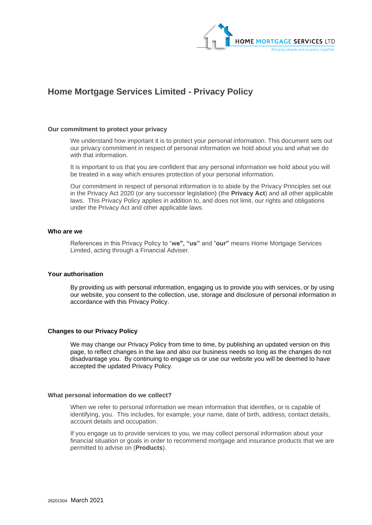

# **Home Mortgage Services Limited - Privacy Policy**

#### **Our commitment to protect your privacy**

We understand how important it is to protect your personal information. This document sets out our privacy commitment in respect of personal information we hold about you and what we do with that information.

It is important to us that you are confident that any personal information we hold about you will be treated in a way which ensures protection of your personal information.

Our commitment in respect of personal information is to abide by the Privacy Principles set out in the Privacy Act 2020 (or any successor legislation) (the **Privacy Act**) and all other applicable laws. This Privacy Policy applies in addition to, and does not limit, our rights and obligations under the Privacy Act and other applicable laws.

### **Who are we**

References in this Privacy Policy to "**we", "us"** and "**our"** means Home Mortgage Services Limited, acting through a Financial Adviser.

# **Your authorisation**

By providing us with personal information, engaging us to provide you with services, or by using our website, you consent to the collection, use, storage and disclosure of personal information in accordance with this Privacy Policy.

# **Changes to our Privacy Policy**

We may change our Privacy Policy from time to time, by publishing an updated version on this page, to reflect changes in the law and also our business needs so long as the changes do not disadvantage you. By continuing to engage us or use our website you will be deemed to have accepted the updated Privacy Policy.

#### **What personal information do we collect?**

When we refer to personal information we mean information that identifies, or is capable of identifying, you. This includes, for example, your name, date of birth, address, contact details, account details and occupation.

If you engage us to provide services to you, we may collect personal information about your financial situation or goals in order to recommend mortgage and insurance products that we are permitted to advise on (**Products**).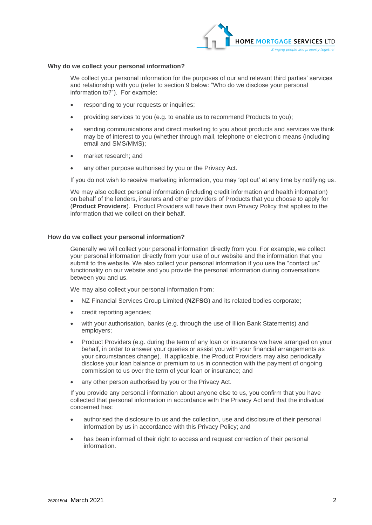

## **Why do we collect your personal information?**

We collect your personal information for the purposes of our and relevant third parties' services and relationship with you (refer to section 9 below: "Who do we disclose your personal information to?"). For example:

- responding to your requests or inquiries;
- providing services to you (e.g. to enable us to recommend Products to you);
- sending communications and direct marketing to you about products and services we think may be of interest to you (whether through mail, telephone or electronic means (including email and SMS/MMS);
- market research; and
- any other purpose authorised by you or the Privacy Act.

If you do not wish to receive marketing information, you may 'opt out' at any time by notifying us.

We may also collect personal information (including credit information and health information) on behalf of the lenders, insurers and other providers of Products that you choose to apply for (**Product Providers**). Product Providers will have their own Privacy Policy that applies to the information that we collect on their behalf.

## **How do we collect your personal information?**

Generally we will collect your personal information directly from you. For example, we collect your personal information directly from your use of our website and the information that you submit to the website. We also collect your personal information if you use the "contact us" functionality on our website and you provide the personal information during conversations between you and us.

We may also collect your personal information from:

- NZ Financial Services Group Limited (**NZFSG**) and its related bodies corporate;
- credit reporting agencies;
- with your authorisation, banks (e.g. through the use of Illion Bank Statements) and employers;
- Product Providers (e.g. during the term of any loan or insurance we have arranged on your behalf, in order to answer your queries or assist you with your financial arrangements as your circumstances change). If applicable, the Product Providers may also periodically disclose your loan balance or premium to us in connection with the payment of ongoing commission to us over the term of your loan or insurance; and
- any other person authorised by you or the Privacy Act.

If you provide any personal information about anyone else to us, you confirm that you have collected that personal information in accordance with the Privacy Act and that the individual concerned has:

- authorised the disclosure to us and the collection, use and disclosure of their personal information by us in accordance with this Privacy Policy; and
- has been informed of their right to access and request correction of their personal information.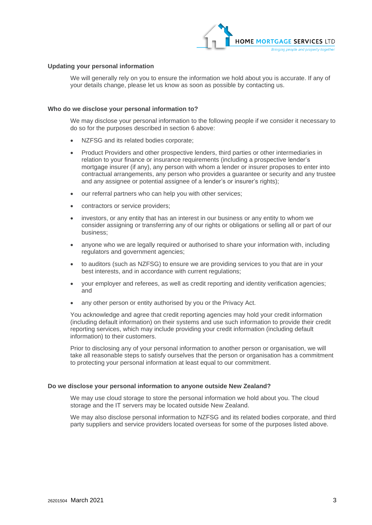

### **Updating your personal information**

We will generally rely on you to ensure the information we hold about you is accurate. If any of your details change, please let us know as soon as possible by contacting us.

#### **Who do we disclose your personal information to?**

We may disclose your personal information to the following people if we consider it necessary to do so for the purposes described in section 6 above:

- NZFSG and its related bodies corporate;
- Product Providers and other prospective lenders, third parties or other intermediaries in relation to your finance or insurance requirements (including a prospective lender's mortgage insurer (if any), any person with whom a lender or insurer proposes to enter into contractual arrangements, any person who provides a guarantee or security and any trustee and any assignee or potential assignee of a lender's or insurer's rights);
- our referral partners who can help you with other services;
- contractors or service providers;
- investors, or any entity that has an interest in our business or any entity to whom we consider assigning or transferring any of our rights or obligations or selling all or part of our business;
- anyone who we are legally required or authorised to share your information with, including regulators and government agencies;
- to auditors (such as NZFSG) to ensure we are providing services to you that are in your best interests, and in accordance with current regulations;
- your employer and referees, as well as credit reporting and identity verification agencies; and
- any other person or entity authorised by you or the Privacy Act.

You acknowledge and agree that credit reporting agencies may hold your credit information (including default information) on their systems and use such information to provide their credit reporting services, which may include providing your credit information (including default information) to their customers.

Prior to disclosing any of your personal information to another person or organisation, we will take all reasonable steps to satisfy ourselves that the person or organisation has a commitment to protecting your personal information at least equal to our commitment.

#### **Do we disclose your personal information to anyone outside New Zealand?**

We may use cloud storage to store the personal information we hold about you. The cloud storage and the IT servers may be located outside New Zealand.

We may also disclose personal information to NZFSG and its related bodies corporate, and third party suppliers and service providers located overseas for some of the purposes listed above.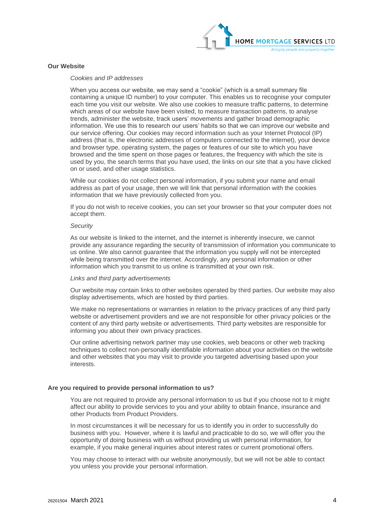

# **Our Website**

## *Cookies and IP addresses*

When you access our website, we may send a "cookie" (which is a small summary file containing a unique ID number) to your computer. This enables us to recognise your computer each time you visit our website. We also use cookies to measure traffic patterns, to determine which areas of our website have been visited, to measure transaction patterns, to analyse trends, administer the website, track users' movements and gather broad demographic information. We use this to research our users' habits so that we can improve our website and our service offering. Our cookies may record information such as your Internet Protocol (IP) address (that is, the electronic addresses of computers connected to the internet), your device and browser type, operating system, the pages or features of our site to which you have browsed and the time spent on those pages or features, the frequency with which the site is used by you, the search terms that you have used, the links on our site that a you have clicked on or used, and other usage statistics.

While our cookies do not collect personal information, if you submit your name and email address as part of your usage, then we will link that personal information with the cookies information that we have previously collected from you.

If you do not wish to receive cookies, you can set your browser so that your computer does not accept them.

#### *Security*

As our website is linked to the internet, and the internet is inherently insecure, we cannot provide any assurance regarding the security of transmission of information you communicate to us online. We also cannot guarantee that the information you supply will not be intercepted while being transmitted over the internet. Accordingly, any personal information or other information which you transmit to us online is transmitted at your own risk.

#### *Links and third party advertisements*

Our website may contain links to other websites operated by third parties. Our website may also display advertisements, which are hosted by third parties.

We make no representations or warranties in relation to the privacy practices of any third party website or advertisement providers and we are not responsible for other privacy policies or the content of any third party website or advertisements. Third party websites are responsible for informing you about their own privacy practices.

Our online advertising network partner may use cookies, web beacons or other web tracking techniques to collect non-personally identifiable information about your activities on the website and other websites that you may visit to provide you targeted advertising based upon your interests.

#### **Are you required to provide personal information to us?**

You are not required to provide any personal information to us but if you choose not to it might affect our ability to provide services to you and your ability to obtain finance, insurance and other Products from Product Providers.

In most circumstances it will be necessary for us to identify you in order to successfully do business with you. However, where it is lawful and practicable to do so, we will offer you the opportunity of doing business with us without providing us with personal information, for example, if you make general inquiries about interest rates or current promotional offers.

You may choose to interact with our website anonymously, but we will not be able to contact you unless you provide your personal information.